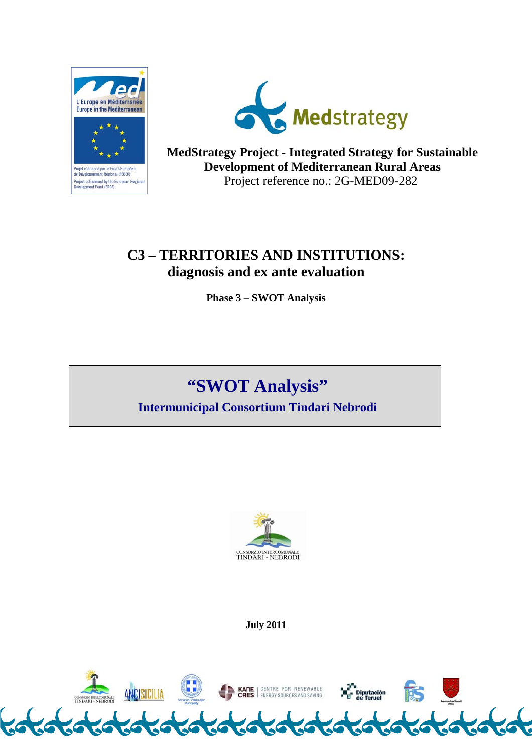



**MedStrategy Project - Integrated Strategy for Sustainable Development of Mediterranean Rural Areas**  Project reference no.: 2G-MED09-282

# **C3 – TERRITORIES AND INSTITUTIONS: diagnosis and ex ante evaluation**

**Phase 3 – SWOT Analysis** 

# **"SWOT Analysis"**

**Intermunicipal Consortium Tindari Nebrodi** 



**July 2011**

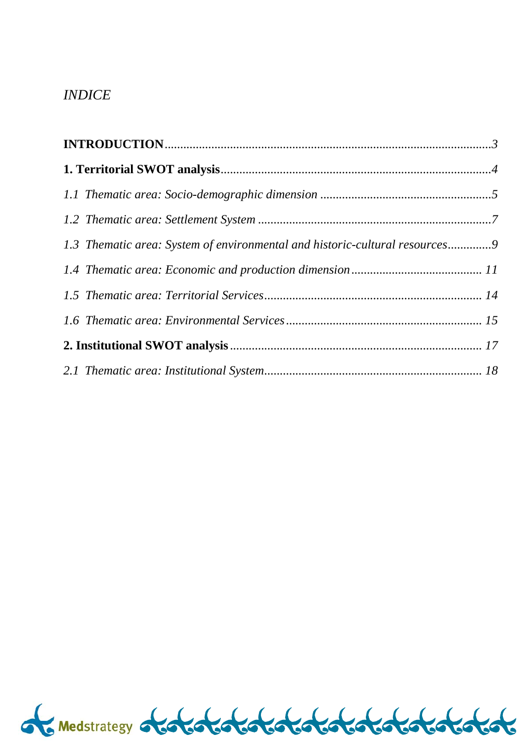# *INDICE*

| 1.3 Thematic area: System of environmental and historic-cultural resources9 |  |
|-----------------------------------------------------------------------------|--|
|                                                                             |  |
|                                                                             |  |
|                                                                             |  |
|                                                                             |  |
|                                                                             |  |

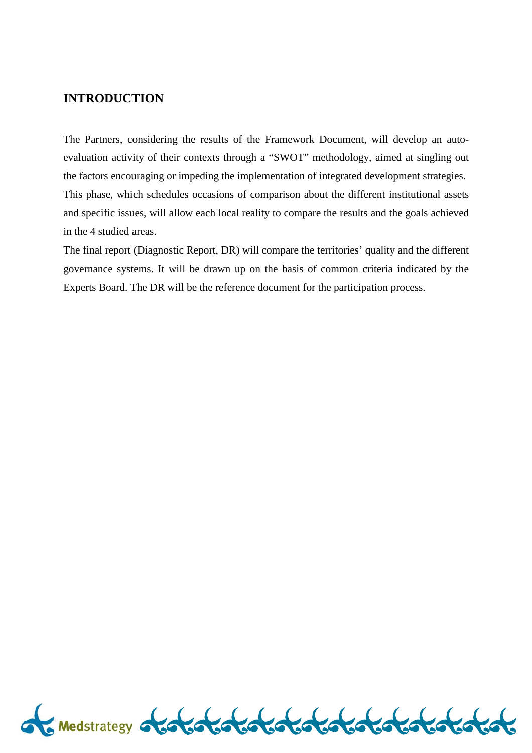### **INTRODUCTION**

The Partners, considering the results of the Framework Document, will develop an autoevaluation activity of their contexts through a "SWOT" methodology, aimed at singling out the factors encouraging or impeding the implementation of integrated development strategies. This phase, which schedules occasions of comparison about the different institutional assets and specific issues, will allow each local reality to compare the results and the goals achieved in the 4 studied areas.

The final report (Diagnostic Report, DR) will compare the territories' quality and the different governance systems. It will be drawn up on the basis of common criteria indicated by the Experts Board. The DR will be the reference document for the participation process.

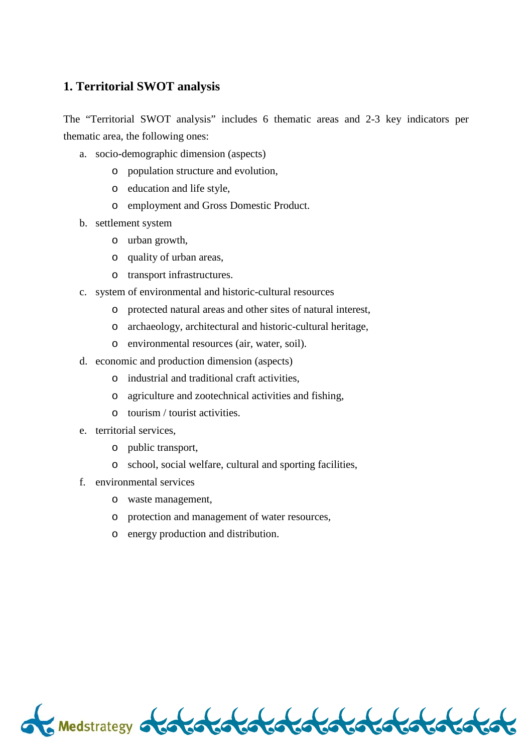### **1. Territorial SWOT analysis**

The "Territorial SWOT analysis" includes 6 thematic areas and 2-3 key indicators per thematic area, the following ones:

- a. socio-demographic dimension (aspects)
	- o population structure and evolution,
	- o education and life style,
	- o employment and Gross Domestic Product.
- b. settlement system
	- o urban growth,
	- o quality of urban areas,
	- o transport infrastructures.
- c. system of environmental and historic-cultural resources
	- o protected natural areas and other sites of natural interest,
	- o archaeology, architectural and historic-cultural heritage,
	- o environmental resources (air, water, soil).
- d. economic and production dimension (aspects)
	- o industrial and traditional craft activities,
	- o agriculture and zootechnical activities and fishing,
	- o tourism / tourist activities.
- e. territorial services,
	- o public transport,
	- o school, social welfare, cultural and sporting facilities,
- f. environmental services
	- o waste management,
	- o protection and management of water resources,
	- o energy production and distribution.

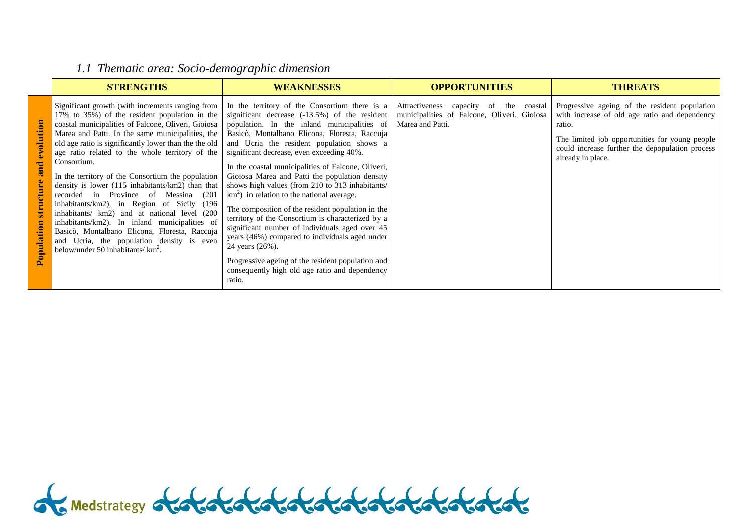# *1.1 Thematic area: Socio-demographic dimension*

|                                         | <b>STRENGTHS</b>                                                                                                                                                                                                                                                                                                                                                                                                                                                                                                                                                                                                                                                                                                                                                                           | <b>WEAKNESSES</b>                                                                                                                                                                                                                                                                                                                                                                                                                                                                                                                                                                                                                                                                                                                                                                                                                                       | <b>OPPORTUNITIES</b>                                                                                               | <b>THREATS</b>                                                                                                                                                                                                                     |
|-----------------------------------------|--------------------------------------------------------------------------------------------------------------------------------------------------------------------------------------------------------------------------------------------------------------------------------------------------------------------------------------------------------------------------------------------------------------------------------------------------------------------------------------------------------------------------------------------------------------------------------------------------------------------------------------------------------------------------------------------------------------------------------------------------------------------------------------------|---------------------------------------------------------------------------------------------------------------------------------------------------------------------------------------------------------------------------------------------------------------------------------------------------------------------------------------------------------------------------------------------------------------------------------------------------------------------------------------------------------------------------------------------------------------------------------------------------------------------------------------------------------------------------------------------------------------------------------------------------------------------------------------------------------------------------------------------------------|--------------------------------------------------------------------------------------------------------------------|------------------------------------------------------------------------------------------------------------------------------------------------------------------------------------------------------------------------------------|
| tion<br>$\overline{\mathbf{a}}$<br>opul | Significant growth (with increments ranging from<br>17% to 35%) of the resident population in the<br>coastal municipalities of Falcone, Oliveri, Gioiosa<br>Marea and Patti. In the same municipalities, the<br>old age ratio is significantly lower than the the old<br>age ratio related to the whole territory of the<br>Consortium.<br>In the territory of the Consortium the population<br>density is lower (115 inhabitants/km2) than that<br>Province of<br>Messina (201<br>$\sin$<br>recorded<br>inhabitants/km2), in Region of Sicily (196<br>inhabitants/ km2) and at national level (200<br>inhabitants/km2). In inland municipalities of<br>Basicò, Montalbano Elicona, Floresta, Raccuja<br>and Ucria, the population density is even<br>below/under 50 inhabitants/ $km^2$ . | In the territory of the Consortium there is a<br>significant decrease $(-13.5%)$ of the resident<br>population. In the inland municipalities of<br>Basicò, Montalbano Elicona, Floresta, Raccuja<br>and Ucria the resident population shows a<br>significant decrease, even exceeding 40%.<br>In the coastal municipalities of Falcone, Oliveri,<br>Gioiosa Marea and Patti the population density<br>shows high values (from 210 to 313 inhabitants/<br>$km2$ ) in relation to the national average.<br>The composition of the resident population in the<br>territory of the Consortium is characterized by a<br>significant number of individuals aged over 45<br>years (46%) compared to individuals aged under<br>24 years (26%).<br>Progressive ageing of the resident population and<br>consequently high old age ratio and dependency<br>ratio. | Attractiveness<br>the<br>capacity of<br>coastal<br>municipalities of Falcone, Oliveri, Gioiosa<br>Marea and Patti. | Progressive ageing of the resident population<br>with increase of old age ratio and dependency<br>ratio.<br>The limited job opportunities for young people<br>could increase further the depopulation process<br>already in place. |

Medstrategy & totototototototo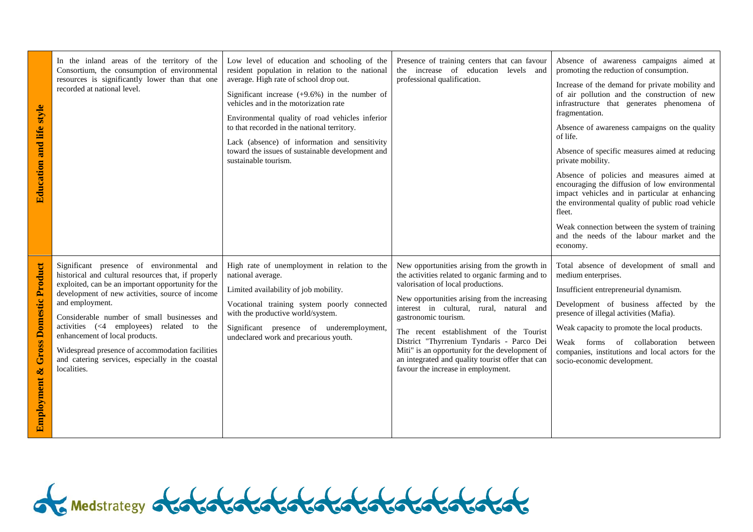| <b>Education and life style</b>                          | In the inland areas of the territory of the<br>Consortium, the consumption of environmental<br>resources is significantly lower than that one<br>recorded at national level.                                                                                                                                                                                                                                                                                                       | Low level of education and schooling of the<br>resident population in relation to the national<br>average. High rate of school drop out.<br>Significant increase $(+9.6\%)$ in the number of<br>vehicles and in the motorization rate<br>Environmental quality of road vehicles inferior<br>to that recorded in the national territory.<br>Lack (absence) of information and sensitivity<br>toward the issues of sustainable development and<br>sustainable tourism. | Presence of training centers that can favour<br>the increase of education levels and<br>professional qualification.                                                                                                                                                                                                                                                                                                                                                                             | Absence of awareness campaigns aimed at<br>promoting the reduction of consumption.<br>Increase of the demand for private mobility and<br>of air pollution and the construction of new<br>infrastructure that generates phenomena of<br>fragmentation.<br>Absence of awareness campaigns on the quality<br>of life.<br>Absence of specific measures aimed at reducing<br>private mobility.<br>Absence of policies and measures aimed at<br>encouraging the diffusion of low environmental<br>impact vehicles and in particular at enhancing<br>the environmental quality of public road vehicle<br>fleet.<br>Weak connection between the system of training<br>and the needs of the labour market and the<br>economy. |
|----------------------------------------------------------|------------------------------------------------------------------------------------------------------------------------------------------------------------------------------------------------------------------------------------------------------------------------------------------------------------------------------------------------------------------------------------------------------------------------------------------------------------------------------------|----------------------------------------------------------------------------------------------------------------------------------------------------------------------------------------------------------------------------------------------------------------------------------------------------------------------------------------------------------------------------------------------------------------------------------------------------------------------|-------------------------------------------------------------------------------------------------------------------------------------------------------------------------------------------------------------------------------------------------------------------------------------------------------------------------------------------------------------------------------------------------------------------------------------------------------------------------------------------------|----------------------------------------------------------------------------------------------------------------------------------------------------------------------------------------------------------------------------------------------------------------------------------------------------------------------------------------------------------------------------------------------------------------------------------------------------------------------------------------------------------------------------------------------------------------------------------------------------------------------------------------------------------------------------------------------------------------------|
| <b>Gross Domestic Product</b><br><b>Employment &amp;</b> | Significant presence of environmental and<br>historical and cultural resources that, if properly<br>exploited, can be an important opportunity for the<br>development of new activities, source of income<br>and employment.<br>Considerable number of small businesses and<br>activities (<4 employees) related to<br>the<br>enhancement of local products.<br>Widespread presence of accommodation facilities<br>and catering services, especially in the coastal<br>localities. | High rate of unemployment in relation to the<br>national average.<br>Limited availability of job mobility.<br>Vocational training system poorly connected<br>with the productive world/system.<br>Significant presence of underemployment,<br>undeclared work and precarious youth.                                                                                                                                                                                  | New opportunities arising from the growth in<br>the activities related to organic farming and to<br>valorisation of local productions.<br>New opportunities arising from the increasing<br>interest in cultural, rural, natural and<br>gastronomic tourism.<br>The recent establishment of the Tourist<br>District "Thyrrenium Tyndaris - Parco Dei<br>Miti" is an opportunity for the development of<br>an integrated and quality tourist offer that can<br>favour the increase in employment. | Total absence of development of small and<br>medium enterprises.<br>Insufficient entrepreneurial dynamism.<br>Development of business affected by the<br>presence of illegal activities (Mafia).<br>Weak capacity to promote the local products.<br>Weak forms of collaboration between<br>companies, institutions and local actors for the<br>socio-economic development.                                                                                                                                                                                                                                                                                                                                           |

of Medstrategy of otototototototototototototototo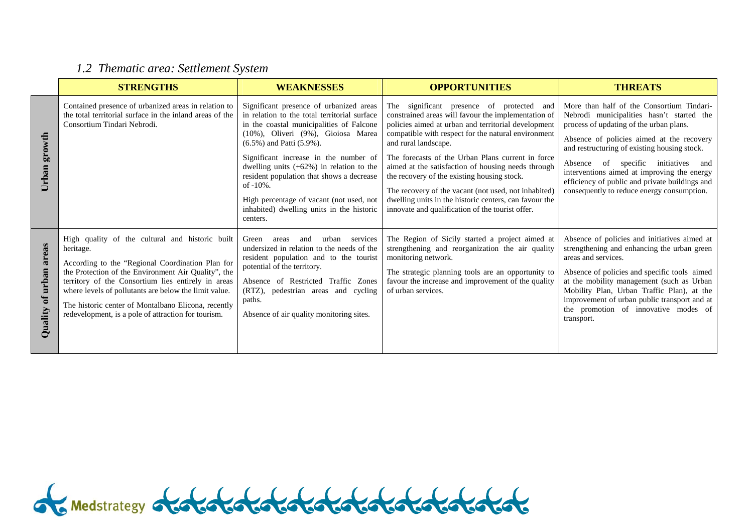# *1.2 Thematic area: Settlement System*

|                           | <b>STRENGTHS</b>                                                                                                                                                                                                                                                                                                                                                                                     | <b>WEAKNESSES</b>                                                                                                                                                                                                                                                                                                                                                                                                                                                    | <b>OPPORTUNITIES</b>                                                                                                                                                                                                                                                                                                                                                                                                                                                                                                                                                   | <b>THREATS</b>                                                                                                                                                                                                                                                                                                                                                                                                             |
|---------------------------|------------------------------------------------------------------------------------------------------------------------------------------------------------------------------------------------------------------------------------------------------------------------------------------------------------------------------------------------------------------------------------------------------|----------------------------------------------------------------------------------------------------------------------------------------------------------------------------------------------------------------------------------------------------------------------------------------------------------------------------------------------------------------------------------------------------------------------------------------------------------------------|------------------------------------------------------------------------------------------------------------------------------------------------------------------------------------------------------------------------------------------------------------------------------------------------------------------------------------------------------------------------------------------------------------------------------------------------------------------------------------------------------------------------------------------------------------------------|----------------------------------------------------------------------------------------------------------------------------------------------------------------------------------------------------------------------------------------------------------------------------------------------------------------------------------------------------------------------------------------------------------------------------|
| growth<br>Urban           | Contained presence of urbanized areas in relation to<br>the total territorial surface in the inland areas of the<br>Consortium Tindari Nebrodi.                                                                                                                                                                                                                                                      | Significant presence of urbanized areas<br>in relation to the total territorial surface<br>in the coastal municipalities of Falcone<br>(10%), Oliveri (9%), Gioiosa Marea<br>$(6.5\%)$ and Patti $(5.9\%).$<br>Significant increase in the number of<br>dwelling units $(+62%)$ in relation to the<br>resident population that shows a decrease<br>of $-10\%$ .<br>High percentage of vacant (not used, not<br>inhabited) dwelling units in the historic<br>centers. | The significant presence of protected and<br>constrained areas will favour the implementation of<br>policies aimed at urban and territorial development<br>compatible with respect for the natural environment<br>and rural landscape.<br>The forecasts of the Urban Plans current in force<br>aimed at the satisfaction of housing needs through<br>the recovery of the existing housing stock.<br>The recovery of the vacant (not used, not inhabited)<br>dwelling units in the historic centers, can favour the<br>innovate and qualification of the tourist offer. | More than half of the Consortium Tindari-<br>Nebrodi municipalities hasn't started the<br>process of updating of the urban plans.<br>Absence of policies aimed at the recovery<br>and restructuring of existing housing stock.<br>of specific initiatives<br>Absence<br>and<br>interventions aimed at improving the energy<br>efficiency of public and private buildings and<br>consequently to reduce energy consumption. |
| areas<br>Quality of urban | High quality of the cultural and historic built<br>heritage.<br>According to the "Regional Coordination Plan for<br>the Protection of the Environment Air Quality", the<br>territory of the Consortium lies entirely in areas<br>where levels of pollutants are below the limit value.<br>The historic center of Montalbano Elicona, recently<br>redevelopment, is a pole of attraction for tourism. | services<br>Green<br>and<br>urban<br>areas<br>undersized in relation to the needs of the<br>resident population and to the tourist<br>potential of the territory.<br>Absence of Restricted Traffic Zones<br>(RTZ), pedestrian areas and cycling<br>paths.<br>Absence of air quality monitoring sites.                                                                                                                                                                | The Region of Sicily started a project aimed at<br>strengthening and reorganization the air quality<br>monitoring network.<br>The strategic planning tools are an opportunity to<br>favour the increase and improvement of the quality<br>of urban services.                                                                                                                                                                                                                                                                                                           | Absence of policies and initiatives aimed at<br>strengthening and enhancing the urban green<br>areas and services.<br>Absence of policies and specific tools aimed<br>at the mobility management (such as Urban<br>Mobility Plan, Urban Traffic Plan), at the<br>improvement of urban public transport and at<br>the promotion of innovative modes of<br>transport.                                                        |

Medstrategy of or totototototototo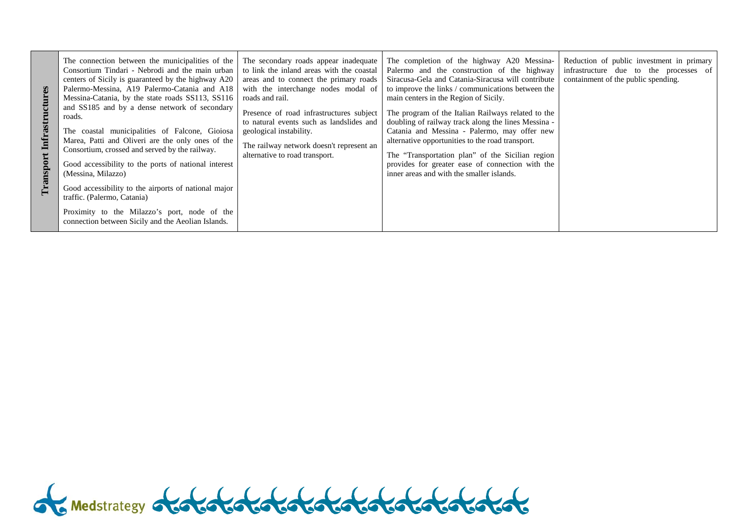| rastructures<br><b>Transport</b> | The connection between the municipalities of the<br>Consortium Tindari - Nebrodi and the main urban<br>centers of Sicily is guaranteed by the highway A20<br>Palermo-Messina, A19 Palermo-Catania and A18<br>Messina-Catania, by the state roads SS113, SS116<br>and SS185 and by a dense network of secondary<br>roads.<br>The coastal municipalities of Falcone, Gioiosa<br>Marea, Patti and Oliveri are the only ones of the<br>Consortium, crossed and served by the railway.<br>Good accessibility to the ports of national interest<br>(Messina, Milazzo)<br>Good accessibility to the airports of national major<br>traffic. (Palermo, Catania)<br>Proximity to the Milazzo's port, node of the<br>connection between Sicily and the Aeolian Islands. | The secondary roads appear inadequate<br>to link the inland areas with the coastal<br>areas and to connect the primary roads<br>with the interchange nodes modal of<br>roads and rail.<br>Presence of road infrastructures subject<br>to natural events such as landslides and<br>geological instability.<br>The railway network doesn't represent an<br>alternative to road transport. | The completion of the highway A20 Messina-<br>Palermo and the construction of the highway<br>Siracusa-Gela and Catania-Siracusa will contribute<br>to improve the links / communications between the<br>main centers in the Region of Sicily.<br>The program of the Italian Railways related to the<br>doubling of railway track along the lines Messina -<br>Catania and Messina - Palermo, may offer new<br>alternative opportunities to the road transport.<br>The "Transportation plan" of the Sicilian region<br>provides for greater ease of connection with the<br>inner areas and with the smaller islands. | Reduction of public investment in primary<br>infrastructure due to the processes of<br>containment of the public spending. |
|----------------------------------|--------------------------------------------------------------------------------------------------------------------------------------------------------------------------------------------------------------------------------------------------------------------------------------------------------------------------------------------------------------------------------------------------------------------------------------------------------------------------------------------------------------------------------------------------------------------------------------------------------------------------------------------------------------------------------------------------------------------------------------------------------------|-----------------------------------------------------------------------------------------------------------------------------------------------------------------------------------------------------------------------------------------------------------------------------------------------------------------------------------------------------------------------------------------|---------------------------------------------------------------------------------------------------------------------------------------------------------------------------------------------------------------------------------------------------------------------------------------------------------------------------------------------------------------------------------------------------------------------------------------------------------------------------------------------------------------------------------------------------------------------------------------------------------------------|----------------------------------------------------------------------------------------------------------------------------|
|----------------------------------|--------------------------------------------------------------------------------------------------------------------------------------------------------------------------------------------------------------------------------------------------------------------------------------------------------------------------------------------------------------------------------------------------------------------------------------------------------------------------------------------------------------------------------------------------------------------------------------------------------------------------------------------------------------------------------------------------------------------------------------------------------------|-----------------------------------------------------------------------------------------------------------------------------------------------------------------------------------------------------------------------------------------------------------------------------------------------------------------------------------------------------------------------------------------|---------------------------------------------------------------------------------------------------------------------------------------------------------------------------------------------------------------------------------------------------------------------------------------------------------------------------------------------------------------------------------------------------------------------------------------------------------------------------------------------------------------------------------------------------------------------------------------------------------------------|----------------------------------------------------------------------------------------------------------------------------|

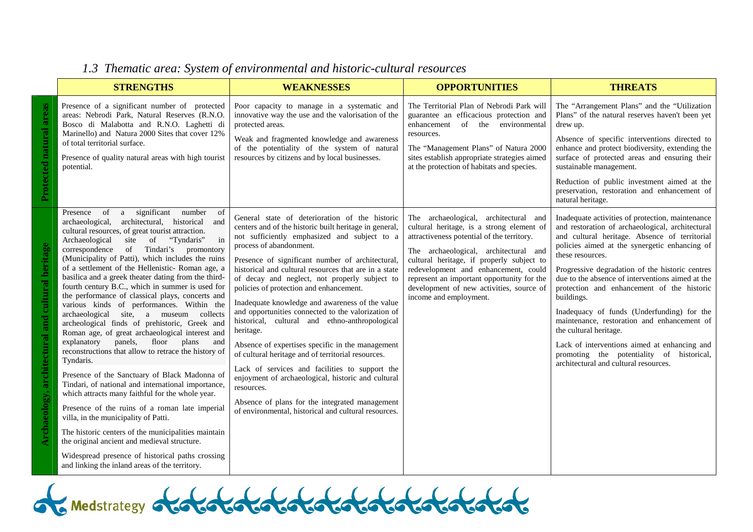#### **STRENGTHS WEAKNESSES OPPORTUNITIES THREATS** Presence of a significant number of protected leads.<br>
Nextral Reserves (R.N.O. Laghetti di innovative way the use and the valorisation of the summarized areas.<br>
Nextral Reserves (R.N.O. Laghetti di innovative way the use a Presence of a significant number of General state of deterioration of the historic The archaeological, architectural and Inadequate activities of protection, maintenance archaeological, architectural, historical and centers and of the historic built heritage in general, cultural heritage, is a strong element of and restoration of archaeological, architectural cultural resources, of great tourist attraction. not sufficiently emphasized and subject to a attractiveness potential of the territory. and cultural heritage. Absence of territorial Archaeological site of "Tyndaris" in process of abandonment. Archaeology, architectural and cultural heritage policies aimed at the synergetic enhancing of **Archaeology, architectural and cultural heritage** correspondence of Tindari's promontory The archaeological, architectural and these resources. (Municipality of Patti), which includes the ruins Presence of significant number of architectural, cultural heritage, if properly subject to of a settlement of the Hellenistic- Roman age, a historical and cultural resources that are in a state redevelopment and enhancement, could Progressive degradation of the historic centres basilica and a greek theater dating from the third of decay and neglect, not properly subject to represent an important opportunity for the due to the absence of interventions aimed at the fourth century B.C., which in summer is used for policies of protection and enhancement. development of new activities, source of protection and enhancement of the historic the performance of classical plays, concerts and income and employment. buildings. Inadequate knowledge and awareness of the value various kinds of performances. Within the and opportunities connected to the valorization of Inadequacy of funds (Underfunding) for the archaeological site, a museum collects historical, cultural and ethno-anthropological maintenance, restoration and enhancement of archeological finds of prehistoric, Greek and the cultural heritage. heritage. Roman age, of great archaeological interest and  $explanatory$  panels, floor plans and Absence of expertises specific in the management Lack of interventions aimed at enhancing and reconstructions that allow to retrace the history of of cultural heritage and of territorial resources. promoting the potentiality of historical, Tyndaris. architectural and cultural resources. Lack of services and facilities to support the Presence of the Sanctuary of Black Madonna of enjoyment of archaeological, historic and cultural Tindari, of national and international importance, resources. which attracts many faithful for the whole year. Absence of plans for the integrated management Presence of the ruins of a roman late imperial of environmental, historical and cultural resources. villa, in the municipality of Patti. The historic centers of the municipalities maintainthe original ancient and medieval structure. Widespread presence of historical paths crossing and linking the inland areas of the territory.

### *1.3 Thematic area: System of environmental and historic-cultural resources*

Medstrategy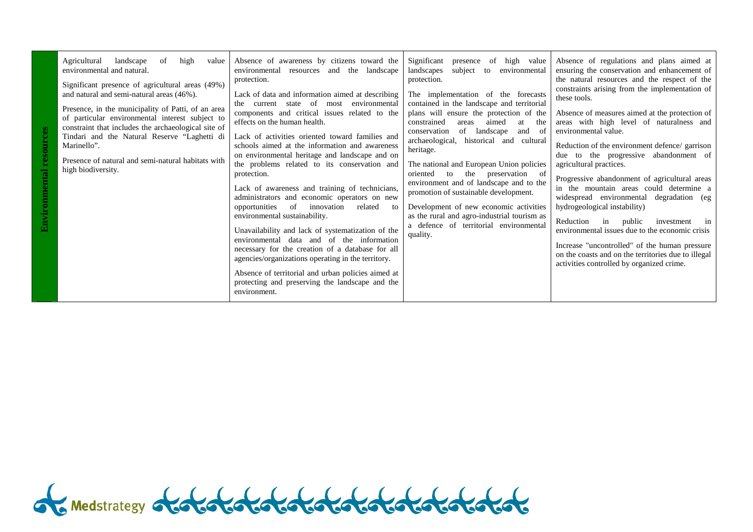| high<br>landscape<br>Agricultural<br>of<br>value<br>environmental and natural.<br>Significant presence of agricultural areas (49%)<br>and natural and semi-natural areas (46%).<br>Presence, in the municipality of Patti, of an area<br>of particular environmental interest subject to<br>constraint that includes the archaeological site of<br>Tindari and the Natural Reserve "Laghetti di<br>Marinello".<br>Presence of natural and semi-natural habitats with<br>high biodiversity. | Absence of awareness by citizens toward the<br>resources and the landscape<br>environmental<br>protection.<br>Lack of data and information aimed at describing<br>environmental<br>current state of<br>most<br>the<br>components and critical issues related to the<br>effects on the human health.<br>Lack of activities oriented toward families and<br>schools aimed at the information and awareness<br>on environmental heritage and landscape and on<br>the problems related to its conservation and<br>protection.<br>Lack of awareness and training of technicians,<br>administrators and economic operators on new<br>of<br>opportunities<br>innovation<br>related<br>to<br>environmental sustainability.<br>Unavailability and lack of systematization of the<br>environmental data and of the information<br>necessary for the creation of a database for all<br>agencies/organizations operating in the territory.<br>Absence of territorial and urban policies aimed at<br>protecting and preserving the landscape and the<br>environment. | Significant<br>high value<br>presence<br>-of<br>landscapes subject<br>environmental<br>to<br>protection.<br>The implementation of the forecasts<br>contained in the landscape and territorial<br>plans will ensure the protection of the<br>constrained<br>aimed<br>the<br>at<br>areas<br>of<br>landscape<br>conservation<br>and<br>-of<br>archaeological, historical and<br>cultural<br>heritage.<br>The national and European Union policies<br>the<br>oriented<br>to<br>preservation of<br>environment and of landscape and to the<br>promotion of sustainable development.<br>Development of new economic activities<br>as the rural and agro-industrial tourism as<br>a defence of territorial environmental<br>quality. | Absence of regulations and plans aimed at<br>ensuring the conservation and enhancement of<br>the natural resources and the respect of the<br>constraints arising from the implementation of<br>these tools.<br>Absence of measures aimed at the protection of<br>areas with high level of naturalness and<br>environmental value.<br>Reduction of the environment defence/ garrison<br>due to the progressive abandonment of<br>agricultural practices.<br>Progressive abandonment of agricultural areas<br>in the mountain areas could determine a<br>widespread environmental degradation (eg<br>hydrogeological instability)<br>Reduction<br>public<br>investment<br>in<br>1n<br>environmental issues due to the economic crisis<br>Increase "uncontrolled" of the human pressure<br>on the coasts and on the territories due to illegal<br>activities controlled by organized crime. |
|--------------------------------------------------------------------------------------------------------------------------------------------------------------------------------------------------------------------------------------------------------------------------------------------------------------------------------------------------------------------------------------------------------------------------------------------------------------------------------------------|---------------------------------------------------------------------------------------------------------------------------------------------------------------------------------------------------------------------------------------------------------------------------------------------------------------------------------------------------------------------------------------------------------------------------------------------------------------------------------------------------------------------------------------------------------------------------------------------------------------------------------------------------------------------------------------------------------------------------------------------------------------------------------------------------------------------------------------------------------------------------------------------------------------------------------------------------------------------------------------------------------------------------------------------------------|-------------------------------------------------------------------------------------------------------------------------------------------------------------------------------------------------------------------------------------------------------------------------------------------------------------------------------------------------------------------------------------------------------------------------------------------------------------------------------------------------------------------------------------------------------------------------------------------------------------------------------------------------------------------------------------------------------------------------------|------------------------------------------------------------------------------------------------------------------------------------------------------------------------------------------------------------------------------------------------------------------------------------------------------------------------------------------------------------------------------------------------------------------------------------------------------------------------------------------------------------------------------------------------------------------------------------------------------------------------------------------------------------------------------------------------------------------------------------------------------------------------------------------------------------------------------------------------------------------------------------------|
|--------------------------------------------------------------------------------------------------------------------------------------------------------------------------------------------------------------------------------------------------------------------------------------------------------------------------------------------------------------------------------------------------------------------------------------------------------------------------------------------|---------------------------------------------------------------------------------------------------------------------------------------------------------------------------------------------------------------------------------------------------------------------------------------------------------------------------------------------------------------------------------------------------------------------------------------------------------------------------------------------------------------------------------------------------------------------------------------------------------------------------------------------------------------------------------------------------------------------------------------------------------------------------------------------------------------------------------------------------------------------------------------------------------------------------------------------------------------------------------------------------------------------------------------------------------|-------------------------------------------------------------------------------------------------------------------------------------------------------------------------------------------------------------------------------------------------------------------------------------------------------------------------------------------------------------------------------------------------------------------------------------------------------------------------------------------------------------------------------------------------------------------------------------------------------------------------------------------------------------------------------------------------------------------------------|------------------------------------------------------------------------------------------------------------------------------------------------------------------------------------------------------------------------------------------------------------------------------------------------------------------------------------------------------------------------------------------------------------------------------------------------------------------------------------------------------------------------------------------------------------------------------------------------------------------------------------------------------------------------------------------------------------------------------------------------------------------------------------------------------------------------------------------------------------------------------------------|

of Medstrategy of otototototototototototototototo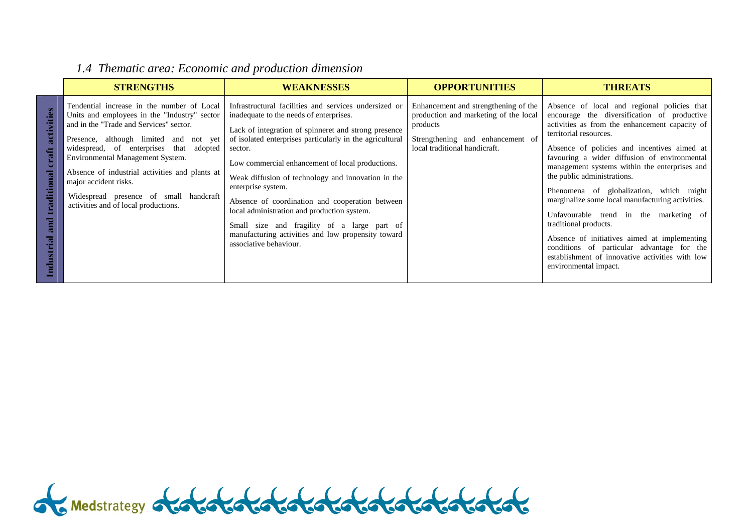# *1.4 Thematic area: Economic and production dimension*

|                                                         | <b>STRENGTHS</b>                                                                                                                                                                                                                                                                                                                                                                                                            | <b>WEAKNESSES</b>                                                                                                                                                                                                                                                                                                                                                                                                                                                                                                                                                                                | <b>OPPORTUNITIES</b>                                                                                                                                           | THREATS                                                                                                                                                                                                                                                                                                                                                                                                                                                                                                                                                                                                                                                                                           |
|---------------------------------------------------------|-----------------------------------------------------------------------------------------------------------------------------------------------------------------------------------------------------------------------------------------------------------------------------------------------------------------------------------------------------------------------------------------------------------------------------|--------------------------------------------------------------------------------------------------------------------------------------------------------------------------------------------------------------------------------------------------------------------------------------------------------------------------------------------------------------------------------------------------------------------------------------------------------------------------------------------------------------------------------------------------------------------------------------------------|----------------------------------------------------------------------------------------------------------------------------------------------------------------|---------------------------------------------------------------------------------------------------------------------------------------------------------------------------------------------------------------------------------------------------------------------------------------------------------------------------------------------------------------------------------------------------------------------------------------------------------------------------------------------------------------------------------------------------------------------------------------------------------------------------------------------------------------------------------------------------|
| activities<br>craft<br>traditional<br>and<br>Industrial | Tendential increase in the number of Local<br>Units and employees in the "Industry" sector<br>and in the "Trade and Services" sector.<br>Presence, although limited and not yet<br>widespread, of enterprises that adopted<br>Environmental Management System.<br>Absence of industrial activities and plants at<br>major accident risks.<br>Widespread presence of small handcraft<br>activities and of local productions. | Infrastructural facilities and services undersized or<br>inadequate to the needs of enterprises.<br>Lack of integration of spinneret and strong presence<br>of isolated enterprises particularly in the agricultural<br>sector.<br>Low commercial enhancement of local productions.<br>Weak diffusion of technology and innovation in the<br>enterprise system.<br>Absence of coordination and cooperation between<br>local administration and production system.<br>Small size and fragility of a large part of<br>manufacturing activities and low propensity toward<br>associative behaviour. | Enhancement and strengthening of the<br>production and marketing of the local<br>products<br>Strengthening and enhancement of<br>local traditional handicraft. | Absence of local and regional policies that<br>encourage the diversification of productive<br>activities as from the enhancement capacity of<br>territorial resources.<br>Absence of policies and incentives aimed at<br>favouring a wider diffusion of environmental<br>management systems within the enterprises and<br>the public administrations.<br>Phenomena of globalization, which might<br>marginalize some local manufacturing activities.<br>Unfavourable trend in the marketing of<br>traditional products.<br>Absence of initiatives aimed at implementing<br>conditions of particular advantage for the<br>establishment of innovative activities with low<br>environmental impact. |

Medstrategy 236 totototototototo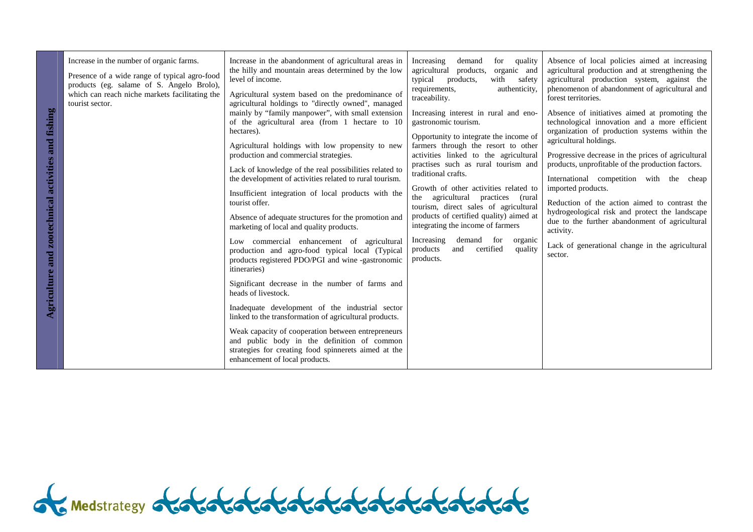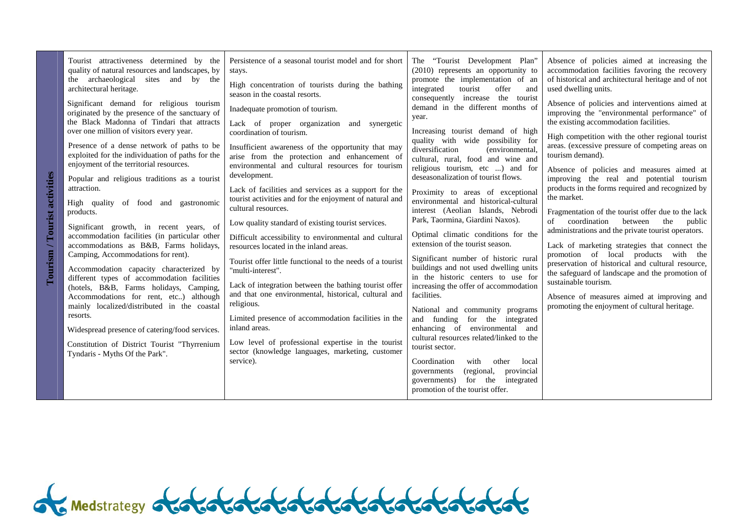| Tourist attractiveness determined by the<br>quality of natural resources and landscapes, by<br>stays.<br>archaeological sites and by the<br>the<br>architectural heritage.<br>Significant demand for religious tourism<br>originated by the presence of the sanctuary of<br>the Black Madonna of Tindari that attracts<br>over one million of visitors every year.<br>Presence of a dense network of paths to be<br>exploited for the individuation of paths for the<br>enjoyment of the territorial resources.<br>development.<br><b><i><u>Courist activities</u></i></b><br>Popular and religious traditions as a tourist<br>attraction.<br>High quality of food and gastronomic<br>products.<br>Significant growth, in recent years, of<br>accommodation facilities (in particular other<br>accommodations as B&B, Farms holidays,<br>ourism<br>Camping, Accommodations for rent).<br>Accommodation capacity characterized by<br>different types of accommodation facilities<br>(hotels, B&B, Farms holidays, Camping,<br>Accommodations for rent, etc) although<br>religious.<br>mainly localized/distributed in the coastal<br>resorts.<br>inland areas.<br>Widespread presence of catering/food services.<br>Constitution of District Tourist "Thyrrenium<br>Tyndaris - Myths Of the Park".<br>service). | Persistence of a seasonal tourist model and for short<br>High concentration of tourists during the bathing<br>season in the coastal resorts.<br>Inadequate promotion of tourism.<br>Lack of proper organization and synergetic<br>coordination of tourism.<br>Insufficient awareness of the opportunity that may<br>arise from the protection and enhancement of<br>environmental and cultural resources for tourism<br>Lack of facilities and services as a support for the<br>tourist activities and for the enjoyment of natural and<br>cultural resources.<br>Low quality standard of existing tourist services.<br>Difficult accessibility to environmental and cultural<br>resources located in the inland areas.<br>Tourist offer little functional to the needs of a tourist<br>"multi-interest".<br>Lack of integration between the bathing tourist offer<br>and that one environmental, historical, cultural and<br>Limited presence of accommodation facilities in the<br>Low level of professional expertise in the tourist<br>sector (knowledge languages, marketing, customer | The "Tourist Development Plan"<br>(2010) represents an opportunity to<br>promote the implementation of an<br>tourist<br>integrated<br>offer<br>and<br>consequently increase the tourist<br>demand in the different months of<br>year.<br>Increasing tourist demand of high<br>quality with wide possibility for<br>diversification<br>(environmental,<br>cultural, rural, food and wine and<br>religious tourism, etc ) and for<br>deseasonalization of tourist flows.<br>Proximity to areas of exceptional<br>environmental and historical-cultural<br>interest (Aeolian Islands, Nebrodi<br>Park, Taormina, Giardini Naxos).<br>Optimal climatic conditions for the<br>extension of the tourist season.<br>Significant number of historic rural<br>buildings and not used dwelling units<br>in the historic centers to use for<br>increasing the offer of accommodation<br>facilities.<br>National and community programs<br>and funding<br>for the integrated<br>enhancing of environmental and<br>cultural resources related/linked to the<br>tourist sector.<br>Coordination<br>with<br>other<br>local<br>provincial<br>governments<br>(regional,<br>for the integrated<br>governments)<br>promotion of the tourist offer. | Absence of policies aimed at increasing the<br>accommodation facilities favoring the recovery<br>of historical and architectural heritage and of not<br>used dwelling units.<br>Absence of policies and interventions aimed at<br>improving the "environmental performance" of<br>the existing accommodation facilities.<br>High competition with the other regional tourist<br>areas. (excessive pressure of competing areas on<br>tourism demand).<br>Absence of policies and measures aimed at<br>improving the real and potential tourism<br>products in the forms required and recognized by<br>the market.<br>Fragmentation of the tourist offer due to the lack<br>coordination<br>the<br>$\sigma$<br>between<br>public<br>administrations and the private tourist operators.<br>Lack of marketing strategies that connect the<br>promotion of local products with the<br>preservation of historical and cultural resource,<br>the safeguard of landscape and the promotion of<br>sustainable tourism.<br>Absence of measures aimed at improving and<br>promoting the enjoyment of cultural heritage. |
|----------------------------------------------------------------------------------------------------------------------------------------------------------------------------------------------------------------------------------------------------------------------------------------------------------------------------------------------------------------------------------------------------------------------------------------------------------------------------------------------------------------------------------------------------------------------------------------------------------------------------------------------------------------------------------------------------------------------------------------------------------------------------------------------------------------------------------------------------------------------------------------------------------------------------------------------------------------------------------------------------------------------------------------------------------------------------------------------------------------------------------------------------------------------------------------------------------------------------------------------------------------------------------------------------------------|---------------------------------------------------------------------------------------------------------------------------------------------------------------------------------------------------------------------------------------------------------------------------------------------------------------------------------------------------------------------------------------------------------------------------------------------------------------------------------------------------------------------------------------------------------------------------------------------------------------------------------------------------------------------------------------------------------------------------------------------------------------------------------------------------------------------------------------------------------------------------------------------------------------------------------------------------------------------------------------------------------------------------------------------------------------------------------------------|---------------------------------------------------------------------------------------------------------------------------------------------------------------------------------------------------------------------------------------------------------------------------------------------------------------------------------------------------------------------------------------------------------------------------------------------------------------------------------------------------------------------------------------------------------------------------------------------------------------------------------------------------------------------------------------------------------------------------------------------------------------------------------------------------------------------------------------------------------------------------------------------------------------------------------------------------------------------------------------------------------------------------------------------------------------------------------------------------------------------------------------------------------------------------------------------------------------------------------|--------------------------------------------------------------------------------------------------------------------------------------------------------------------------------------------------------------------------------------------------------------------------------------------------------------------------------------------------------------------------------------------------------------------------------------------------------------------------------------------------------------------------------------------------------------------------------------------------------------------------------------------------------------------------------------------------------------------------------------------------------------------------------------------------------------------------------------------------------------------------------------------------------------------------------------------------------------------------------------------------------------------------------------------------------------------------------------------------------------|
|----------------------------------------------------------------------------------------------------------------------------------------------------------------------------------------------------------------------------------------------------------------------------------------------------------------------------------------------------------------------------------------------------------------------------------------------------------------------------------------------------------------------------------------------------------------------------------------------------------------------------------------------------------------------------------------------------------------------------------------------------------------------------------------------------------------------------------------------------------------------------------------------------------------------------------------------------------------------------------------------------------------------------------------------------------------------------------------------------------------------------------------------------------------------------------------------------------------------------------------------------------------------------------------------------------------|---------------------------------------------------------------------------------------------------------------------------------------------------------------------------------------------------------------------------------------------------------------------------------------------------------------------------------------------------------------------------------------------------------------------------------------------------------------------------------------------------------------------------------------------------------------------------------------------------------------------------------------------------------------------------------------------------------------------------------------------------------------------------------------------------------------------------------------------------------------------------------------------------------------------------------------------------------------------------------------------------------------------------------------------------------------------------------------------|---------------------------------------------------------------------------------------------------------------------------------------------------------------------------------------------------------------------------------------------------------------------------------------------------------------------------------------------------------------------------------------------------------------------------------------------------------------------------------------------------------------------------------------------------------------------------------------------------------------------------------------------------------------------------------------------------------------------------------------------------------------------------------------------------------------------------------------------------------------------------------------------------------------------------------------------------------------------------------------------------------------------------------------------------------------------------------------------------------------------------------------------------------------------------------------------------------------------------------|--------------------------------------------------------------------------------------------------------------------------------------------------------------------------------------------------------------------------------------------------------------------------------------------------------------------------------------------------------------------------------------------------------------------------------------------------------------------------------------------------------------------------------------------------------------------------------------------------------------------------------------------------------------------------------------------------------------------------------------------------------------------------------------------------------------------------------------------------------------------------------------------------------------------------------------------------------------------------------------------------------------------------------------------------------------------------------------------------------------|

of Medstrategy of ototototototototototototototot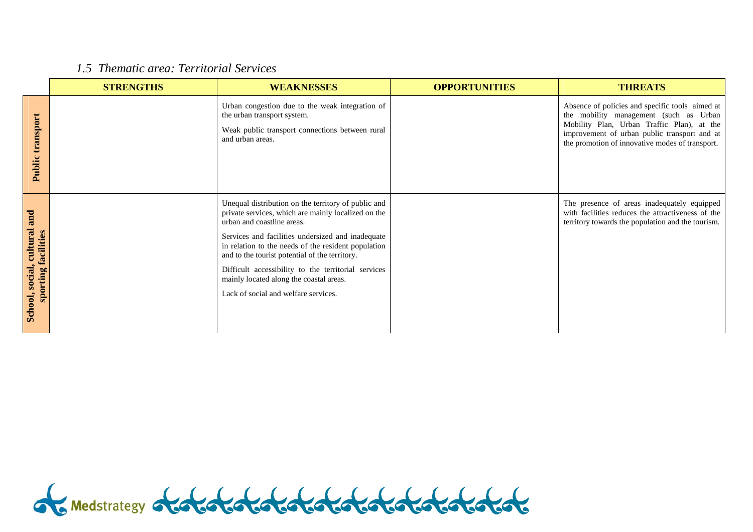# *1.5 Thematic area: Territorial Services*

|                                                                | <b>STRENGTHS</b> | <b>WEAKNESSES</b>                                                                                                                                                                                                                                                                                                                                                                                                                                | <b>OPPORTUNITIES</b> | <b>THREATS</b>                                                                                                                                                                                                                             |
|----------------------------------------------------------------|------------------|--------------------------------------------------------------------------------------------------------------------------------------------------------------------------------------------------------------------------------------------------------------------------------------------------------------------------------------------------------------------------------------------------------------------------------------------------|----------------------|--------------------------------------------------------------------------------------------------------------------------------------------------------------------------------------------------------------------------------------------|
| transport<br>Public                                            |                  | Urban congestion due to the weak integration of<br>the urban transport system.<br>Weak public transport connections between rural<br>and urban areas.                                                                                                                                                                                                                                                                                            |                      | Absence of policies and specific tools aimed at<br>the mobility management (such as Urban<br>Mobility Plan, Urban Traffic Plan), at the<br>improvement of urban public transport and at<br>the promotion of innovative modes of transport. |
| and<br>, cultural<br>sporting facilities<br>social,<br>School, |                  | Unequal distribution on the territory of public and<br>private services, which are mainly localized on the<br>urban and coastline areas.<br>Services and facilities undersized and inadequate<br>in relation to the needs of the resident population<br>and to the tourist potential of the territory.<br>Difficult accessibility to the territorial services<br>mainly located along the coastal areas.<br>Lack of social and welfare services. |                      | The presence of areas inadequately equipped<br>with facilities reduces the attractiveness of the<br>territory towards the population and the tourism.                                                                                      |

Medstrategy 66666 tototototototo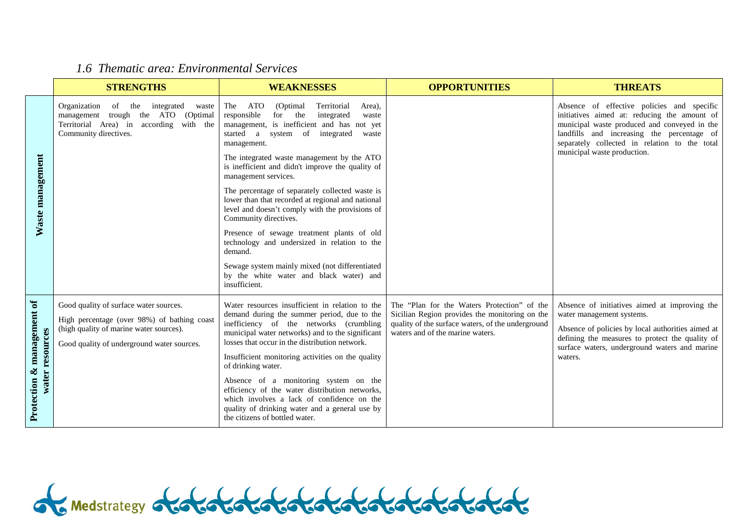# *1.6 Thematic area: Environmental Services*

|                                               | <b>STRENGTHS</b>                                                                                                                                                               | <b>WEAKNESSES</b>                                                                                                                                                                                                                                                                                                                                                                                                                                                                                                                                                                                                                                                                                                                                   | <b>OPPORTUNITIES</b>                                                                                                                                                                   | <b>THREATS</b>                                                                                                                                                                                                                                                           |
|-----------------------------------------------|--------------------------------------------------------------------------------------------------------------------------------------------------------------------------------|-----------------------------------------------------------------------------------------------------------------------------------------------------------------------------------------------------------------------------------------------------------------------------------------------------------------------------------------------------------------------------------------------------------------------------------------------------------------------------------------------------------------------------------------------------------------------------------------------------------------------------------------------------------------------------------------------------------------------------------------------------|----------------------------------------------------------------------------------------------------------------------------------------------------------------------------------------|--------------------------------------------------------------------------------------------------------------------------------------------------------------------------------------------------------------------------------------------------------------------------|
| Waste management                              | Organization of the<br>integrated<br>waste<br>management trough the ATO (Optimal<br>Territorial Area) in<br>according with the<br>Community directives.                        | The<br>ATO<br>(Optimal<br>Territorial<br>Area).<br>responsible<br>for the<br>integrated<br>waste<br>management, is inefficient and has not yet<br>started a<br>system of<br>integrated<br>waste<br>management.<br>The integrated waste management by the ATO<br>is inefficient and didn't improve the quality of<br>management services.<br>The percentage of separately collected waste is<br>lower than that recorded at regional and national<br>level and doesn't comply with the provisions of<br>Community directives.<br>Presence of sewage treatment plants of old<br>technology and undersized in relation to the<br>demand.<br>Sewage system mainly mixed (not differentiated<br>by the white water and black water) and<br>insufficient. |                                                                                                                                                                                        | Absence of effective policies and specific<br>initiatives aimed at: reducing the amount of<br>municipal waste produced and conveyed in the<br>landfills and increasing the percentage of<br>separately collected in relation to the total<br>municipal waste production. |
| Protection & management of<br>water resources | Good quality of surface water sources.<br>High percentage (over 98%) of bathing coast<br>(high quality of marine water sources).<br>Good quality of underground water sources. | Water resources insufficient in relation to the<br>demand during the summer period, due to the<br>inefficiency of the networks (crumbling<br>municipal water networks) and to the significant<br>losses that occur in the distribution network.<br>Insufficient monitoring activities on the quality<br>of drinking water.<br>Absence of a monitoring system on the<br>efficiency of the water distribution networks,<br>which involves a lack of confidence on the<br>quality of drinking water and a general use by<br>the citizens of bottled water.                                                                                                                                                                                             | The "Plan for the Waters Protection" of the<br>Sicilian Region provides the monitoring on the<br>quality of the surface waters, of the underground<br>waters and of the marine waters. | Absence of initiatives aimed at improving the<br>water management systems.<br>Absence of policies by local authorities aimed at<br>defining the measures to protect the quality of<br>surface waters, underground waters and marine<br>waters.                           |

Or Medstrategy of otototototototototototo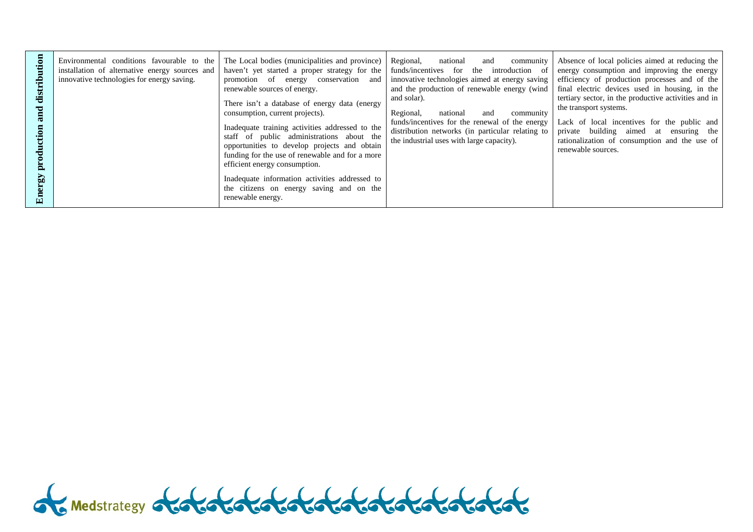| ribution<br><b>Rist</b><br>and<br>production<br>Ene | Environmental conditions favourable to the<br>installation of alternative energy sources and<br>innovative technologies for energy saving. | The Local bodies (municipalities and province)<br>haven't yet started a proper strategy for the<br>promotion of energy conservation and<br>renewable sources of energy.<br>There isn't a database of energy data (energy<br>consumption, current projects).<br>Inadequate training activities addressed to the<br>staff of public administrations about the<br>opportunities to develop projects and obtain<br>funding for the use of renewable and for a more<br>efficient energy consumption.<br>Inadequate information activities addressed to<br>the citizens on energy saving and on the<br>renewable energy. | Regional,<br>national<br>community<br>and<br>funds/incentives for the<br>introduction of<br>innovative technologies aimed at energy saving<br>and the production of renewable energy (wind<br>and solar).<br>Regional,<br>community<br>national<br>and<br>funds/incentives for the renewal of the energy<br>distribution networks (in particular relating to<br>the industrial uses with large capacity). | Absence of local policies aimed at reducing the<br>energy consumption and improving the energy<br>efficiency of production processes and of the<br>final electric devices used in housing, in the<br>tertiary sector, in the productive activities and in<br>the transport systems.<br>Lack of local incentives for the public and<br>private building aimed at ensuring the<br>rationalization of consumption and the use of<br>renewable sources. |
|-----------------------------------------------------|--------------------------------------------------------------------------------------------------------------------------------------------|--------------------------------------------------------------------------------------------------------------------------------------------------------------------------------------------------------------------------------------------------------------------------------------------------------------------------------------------------------------------------------------------------------------------------------------------------------------------------------------------------------------------------------------------------------------------------------------------------------------------|-----------------------------------------------------------------------------------------------------------------------------------------------------------------------------------------------------------------------------------------------------------------------------------------------------------------------------------------------------------------------------------------------------------|-----------------------------------------------------------------------------------------------------------------------------------------------------------------------------------------------------------------------------------------------------------------------------------------------------------------------------------------------------------------------------------------------------------------------------------------------------|
|-----------------------------------------------------|--------------------------------------------------------------------------------------------------------------------------------------------|--------------------------------------------------------------------------------------------------------------------------------------------------------------------------------------------------------------------------------------------------------------------------------------------------------------------------------------------------------------------------------------------------------------------------------------------------------------------------------------------------------------------------------------------------------------------------------------------------------------------|-----------------------------------------------------------------------------------------------------------------------------------------------------------------------------------------------------------------------------------------------------------------------------------------------------------------------------------------------------------------------------------------------------------|-----------------------------------------------------------------------------------------------------------------------------------------------------------------------------------------------------------------------------------------------------------------------------------------------------------------------------------------------------------------------------------------------------------------------------------------------------|

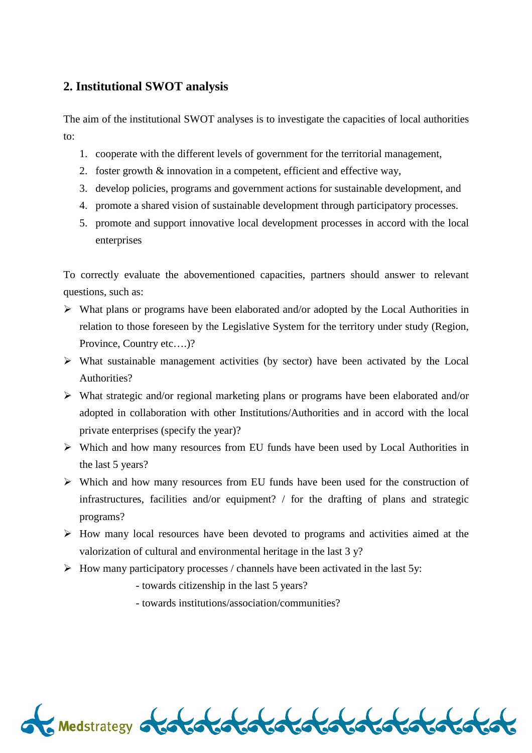## **2. Institutional SWOT analysis**

The aim of the institutional SWOT analyses is to investigate the capacities of local authorities to:

- 1. cooperate with the different levels of government for the territorial management,
- 2. foster growth & innovation in a competent, efficient and effective way,
- 3. develop policies, programs and government actions for sustainable development, and
- 4. promote a shared vision of sustainable development through participatory processes.
- 5. promote and support innovative local development processes in accord with the local enterprises

To correctly evaluate the abovementioned capacities, partners should answer to relevant questions, such as:

- $\triangleright$  What plans or programs have been elaborated and/or adopted by the Local Authorities in relation to those foreseen by the Legislative System for the territory under study (Region, Province, Country etc….)?
- $\triangleright$  What sustainable management activities (by sector) have been activated by the Local Authorities?
- $\triangleright$  What strategic and/or regional marketing plans or programs have been elaborated and/or adopted in collaboration with other Institutions/Authorities and in accord with the local private enterprises (specify the year)?
- Which and how many resources from EU funds have been used by Local Authorities in the last 5 years?
- Which and how many resources from EU funds have been used for the construction of infrastructures, facilities and/or equipment? / for the drafting of plans and strategic programs?
- $\triangleright$  How many local resources have been devoted to programs and activities aimed at the valorization of cultural and environmental heritage in the last 3 y?
- $\triangleright$  How many participatory processes / channels have been activated in the last 5y:
	- towards citizenship in the last 5 years?
	- towards institutions/association/communities?

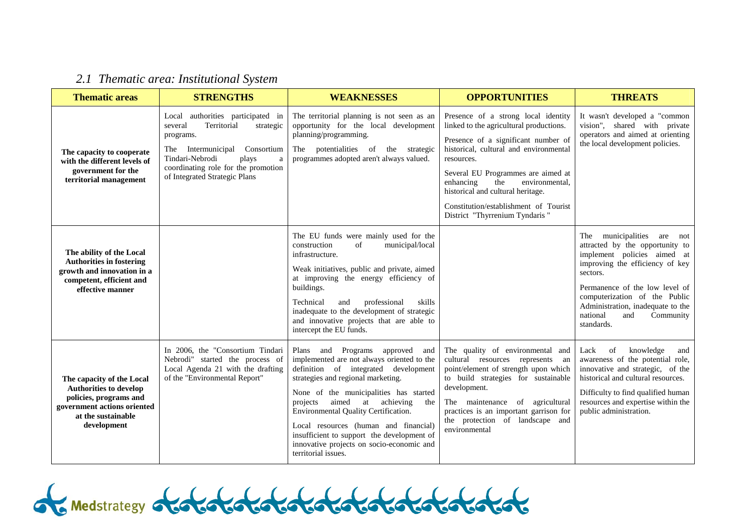| 2.1 Thematic area: Institutional System |  |
|-----------------------------------------|--|
|                                         |  |

| <b>Thematic areas</b>                                                                                                                                    | <b>STRENGTHS</b>                                                                                                                                                                                                                      | <b>WEAKNESSES</b>                                                                                                                                                                                                                                                                                                                                                                                                                                       | <b>OPPORTUNITIES</b>                                                                                                                                                                                                                                                                                                                                                      | <b>THREATS</b>                                                                                                                                                                                                                                                                                             |
|----------------------------------------------------------------------------------------------------------------------------------------------------------|---------------------------------------------------------------------------------------------------------------------------------------------------------------------------------------------------------------------------------------|---------------------------------------------------------------------------------------------------------------------------------------------------------------------------------------------------------------------------------------------------------------------------------------------------------------------------------------------------------------------------------------------------------------------------------------------------------|---------------------------------------------------------------------------------------------------------------------------------------------------------------------------------------------------------------------------------------------------------------------------------------------------------------------------------------------------------------------------|------------------------------------------------------------------------------------------------------------------------------------------------------------------------------------------------------------------------------------------------------------------------------------------------------------|
| The capacity to cooperate<br>with the different levels of<br>government for the<br>territorial management                                                | Local authorities participated in<br>Territorial<br>several<br>strategic<br>programs.<br>Consortium<br>Intermunicipal<br>The<br>Tindari-Nebrodi<br>plays<br>a<br>coordinating role for the promotion<br>of Integrated Strategic Plans | The territorial planning is not seen as an<br>opportunity for the local development<br>planning/programming.<br>potentialities of the strategic<br>The<br>programmes adopted aren't always valued.                                                                                                                                                                                                                                                      | Presence of a strong local identity<br>linked to the agricultural productions.<br>Presence of a significant number of<br>historical, cultural and environmental<br>resources.<br>Several EU Programmes are aimed at<br>environmental.<br>enhancing<br>the<br>historical and cultural heritage.<br>Constitution/establishment of Tourist<br>District "Thyrrenium Tyndaris" | It wasn't developed a "common<br>vision", shared with private<br>operators and aimed at orienting<br>the local development policies.                                                                                                                                                                       |
| The ability of the Local<br><b>Authorities in fostering</b><br>growth and innovation in a<br>competent, efficient and<br>effective manner                |                                                                                                                                                                                                                                       | The EU funds were mainly used for the<br>construction<br>municipal/local<br>of<br>infrastructure.<br>Weak initiatives, public and private, aimed<br>at improving the energy efficiency of<br>buildings.<br>Technical<br>professional<br>and<br>skills<br>inadequate to the development of strategic<br>and innovative projects that are able to<br>intercept the EU funds.                                                                              |                                                                                                                                                                                                                                                                                                                                                                           | municipalities<br>The<br>are<br>not<br>attracted by the opportunity to<br>implement policies aimed at<br>improving the efficiency of key<br>sectors.<br>Permanence of the low level of<br>computerization of the Public<br>Administration, inadequate to the<br>national<br>Community<br>and<br>standards. |
| The capacity of the Local<br><b>Authorities to develop</b><br>policies, programs and<br>government actions oriented<br>at the sustainable<br>development | In 2006, the "Consortium Tindari<br>Nebrodi" started the process of<br>Local Agenda 21 with the drafting<br>of the "Environmental Report"                                                                                             | Plans and Programs approved<br>and<br>implemented are not always oriented to the<br>definition of integrated development<br>strategies and regional marketing.<br>None of the municipalities has started<br>aimed<br>at achieving<br>projects<br>the<br>Environmental Quality Certification.<br>Local resources (human and financial)<br>insufficient to support the development of<br>innovative projects on socio-economic and<br>territorial issues. | The quality of environmental and<br>cultural resources represents an<br>point/element of strength upon which<br>to build strategies for sustainable<br>development.<br>The maintenance of agricultural<br>practices is an important garrison for<br>the protection of landscape and<br>environmental                                                                      | knowledge<br>Lack<br>of<br>and<br>awareness of the potential role,<br>innovative and strategic, of the<br>historical and cultural resources.<br>Difficulty to find qualified human<br>resources and expertise within the<br>public administration.                                                         |